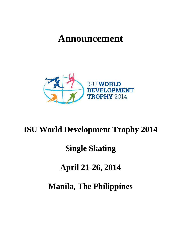# **Announcement**



# **ISU World Development Trophy 2014**

# **Single Skating**

# **April 21-26, 2014**

**Manila, The Philippines**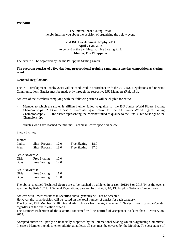#### **Welcome**

The International Skating Union hereby informs you about the decision of organizing the below event:

#### **2nd ISU Development Trophy 2014 April 21-26, 2014** to be held at the SM Megamall Ice Skating Rink **Manila, The Philippines**

The event will be organized by the the Philippine Skating Union.

#### **The program consists of a five-day-long preparational training camp and a one day competition as closing event.**

#### **General Regulations**

The ISU Development Trophy 2014 will be conducted in accordance with the 2012 ISU Regulations and relevant Communications. Entries must be made only through the respective ISU Members (Rule 131).

Athletes of the Members complying with the following criteria will be eligible for entry:

- Member to which the skater is affiliated either failed to qualify to the ISU Junior World Figure Skating Championships 2013 or in case of successful qualification to the ISU Junior World Figure Skating Championships 2013, the skater representing the Member failed to qualify to the Final (Free Skating) of the Championships
- athletes who have reached the minimal Technical Scores specified below.

Single Skating:

| <b>Juniors</b>         |                      |      |              |      |
|------------------------|----------------------|------|--------------|------|
| Ladies                 | <b>Short Program</b> | 12.0 | Free Skating | 18.0 |
| Men                    | <b>Short Program</b> | 18.0 | Free Skating | 27.0 |
| Basic Novices A        |                      |      |              |      |
| Girls                  | Free Skating         | 10.0 |              |      |
| <b>Boys</b>            | Free Skating         | 12.0 |              |      |
| <b>Basic Novices B</b> |                      |      |              |      |
| Girls                  | Free Skating         | 11.0 |              |      |
| <b>Boys</b>            | Free Skating         | 13.0 |              |      |

The above specified Technical Scores are to be reached by athletes in season 2012/13 or 2013/14 at the events specified by Rule 107 ISU General Regulations, paragraphs 3, 4, 6, 9, 10, 13, 14, plus National Competitions.

Athletes with lower results than specified above generally will not be accepted.

However, the final decision will be based on the total number of entries for each category.

The hosting ISU Member (Philippine Skating Union) has the right to enter 1 Skater in each category/gender regardless of the qualification criteria.

The Member Federation of the skater(s) concerned will be notified of acceptance no later than February 28, 2014.

Accepted entries will partly be financially supported by the International Skating Union /Organizing Committee. In case a Member intends to enter additional athletes, all cost must be covered by the Member. The acceptance of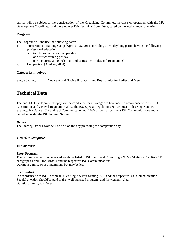entries will be subject to the consideration of the Organizing Committee, in close co-operation with the ISU Development Coordinator and the Single & Pair Technical Committee, based on the total number of entries.

### **Program**

The Program will include the following parts:

- 1) Preparational Training Camp (April 21-25, 2014) including a five day long period having the following professional education:
	- two times on ice training per day
	- one off ice training per day
	- one lecture (skating technique and tactics, ISU Rules and Regulations)
- 2) Competition (April 26, 2014)

#### **Categories involved**

Single Skating: Novice A and Novice B for Girls and Boys, Junior for Ladies and Men

# **Technical Data**

The 2nd ISU Development Trophy will be conducted for all categories hereunder in accordance with the ISU Constitution and General Regulations 2012, the ISU Special Regulations & Technical Rules Single and Pair Skating / Ice Dance 2012 and ISU Communication no. 1760, as well as pertinent ISU Communications and will be judged under the ISU Judging System.

#### *Draws*

The Starting Order Draws will be held on the day preceding the competition day.

### *JUNIOR Categories*

#### **Junior MEN**

#### **Short Program**

The required elements to be skated are those listed in ISU Technical Rules Single & Pair Skating 2012, Rule 511, paragraphs 1 and 3 for 2013/14 and the respective ISU Communications. Duration: 2 min., 50 sec. maximum, but may be less

#### **Free Skating**

In accordance with ISU Technical Rules Single & Pair Skating 2012 and the respective ISU Communication. Special attention should be paid to the "well balanced program" and the element value. Duration: 4 min., +/- 10 sec.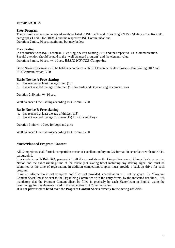# **Junior LADIES**

#### **Short Program**

The required elements to be skated are those listed in ISU Technical Rules Single & Pair Skating 2012, Rule 511, paragraphs 1 and 3 for 2013/14 and the respective ISU Communications. Duration: 2 min., 50 sec. maximum, but may be less

#### **Free Skating**

In accordance with ISU Technical Rules Single & Pair Skating 2012 and the respective ISU Communication. Special attention should be paid to the "well balanced program" and the element value. Duration: 3 min., 30 sec., +/- 10 sec. *BASIC NOVICE Categories* 

Basic Novice Categories will be held in accordance with ISU Technical Rules Single & Pair Skating 2012 and ISU Communication 1760.

#### **Basic Novice A Free skating**

- a. has reached at least the age of ten (10)
- b. has not reached the age of thirteen (13) for Girls and Boys in singles competitions

Duration 2:30 min, +/- 10 sec.

Well balanced Free Skating according ISU Comm. 1760

#### **Basic Novice B Free skating**

- a. has reached at least the age of thirteen (13)
- b. has not reached the age of fifteen (15) for Girls and Boys

Duration 3min +/- 10 sec for boys and girls

Well balanced Free Skating according ISU Comm. 1760

#### **Music/Planned Program Content**

All Competitors shall furnish competition music of excellent quality on CD format, in accordance with Rule 343, paragraph 1.

In accordance with Rule 343, paragraph 1, all discs must show the Competition event, Competitor's name, the Nation and the exact running time of the music (not skating time) including any starting signal and must be submitted at the time of registration. In addition competitors/couples must provide a back-up drive for each program.

If music information is not complete and discs not provided, accreditation will not be given. the "Program Content Sheet" must be sent to the Organizing Committee with the entry forms, by the indicated deadline.,. It is mandatory that the Program Content Sheet be filled in precisely by each Skater/team in English using the terminology for the elements listed in the respective ISU Communication.

**It is not permitted to hand over the Program Content Sheets directly to the acting Officials**.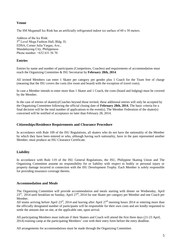# **Venue**

The SM Megamall Ice Rink has an artificially refrigerated indoor ice surface of 60 x 30 meters.

Address of the Ice Rink: 5<sup>th</sup> Level Mega Fashion Hall, Bldg. D, EDSA, Corner Julia Vargas, Ave., Mandaluyong City, Philippiness Phone number: +632 631 56 70

# **Entries**

Entries by name and number of participants (Competitors, Coaches) and requirements of accommodation must reach the Organizing Committee & ISU Secretariat by **February 28th, 2014**.

All invited Members can enter 1 Skater per category per gender plus 1 Coach for the Team free of charge (meaning that the ISU covers the costs (for room and board) with the exception of travel costs).

In case a Member intends to enter more than 1 Skater and 1 Coach, the costs (board and lodging) must be covered by the Member.

In the case of entries of skater(s)/Coaches beyond those invited, these additional entries will only be accepted by the Organizing Committee following the official closing date of **February 28th, 2014.** The basic criteria for a final decision will be the total number of applications to the event(s). The Member Federation of the skater(s) concerned will be notified of acceptance no later than February 28, 2014.

#### **Citizenships/Residence Requirements and Clearance Procedure**

In accordance with Rule 109 of the ISU Regulations, all skaters who do not have the nationality of the Member by which they have been entered or who, although having such nationality, have in the past represented another Member, must produce an ISU Clearance Certificate.

### **Liability**

In accordance with Rule 119 of the ISU General Regulations, the ISU, Philippine Skating Union and The Organizing Committee assume no responsibility for or liability with respect to bodily or personal injury or property damage incurred in connection with the ISU Development Trophy. Each Member is solely responsible for providing insurance coverage thereto.

### **Accommodation and Meals**

The Organizing Committee will provide accommodation and meals starting with dinner on Wednesday, April 23<sup>rd</sup>, 2014 until breakfast on Sunday, April 27<sup>th</sup>, 2014 for one Skater per category per Member and one Coach per Member.

All teams arriving before April  $23^{\text{rd}}$ , 2014 and leaving after April  $27^{\text{th}}$  morning hours 2014 or entering more than the officially designated number of participants will be responsible for their own costs and are kindly requested to settle the amount due on site, at the applicable rate, upon arrival.

All participating Members must indicate if their Skaters and Coach will attend the first three days (21-23 April, 2014) training camp at the participating Members' cost with their entry form before the entry deadline.

All arrangements for accommodations must be made through the Organizing Committee.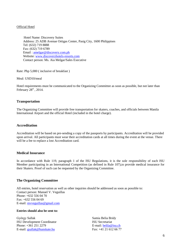#### Official Hotel

 Hotel Name: Discovery Suites Address: 25 ADB Avenue Ortigas Center, Pasig City, 1600 Philippines Tel: (632) 719 8888 Fax: (632) 719 6789 Email : [amelgar@discovery.com.ph](mailto:amelgar@discovery.com.ph) Website: [www.discoveryhotels-resorts.com](http://www.discoveryhotels-resorts.com/) Contact person: Ms. Aia Melgar/Sales Executive

Rate: Php 5,000 ( inclusive of breakfast )

Meal: USD10/meal

Hotel requirements must be communicated to the Organizing Committee as soon as possible, but not later than February  $28<sup>st</sup>$ , 2014.

#### **Transportation**

The Organizing Committee will provide free transportation for skaters, coaches, and officials between Manila International Airport and the official Hotel (included in the hotel charge).

#### **Accreditation**

Accreditation will be based on pre-sending a copy of the passports by participants. Accreditation will be provided upon arrival. All participants must wear their accreditation cards at all times during the event at the venue. There will be a fee to replace a lost Accreditation card.

#### **Medical Insurance**

In accordance with Rule 119, paragraph 1 of the ISU Regulations, it is the sole responsibility of each ISU Member participating in an International Competition (as defined in Rule 107),to provide medical insurance for their Skaters. Proof of such can be requested by the Organizing Committee.

#### **The Organizing Committee**

All entries, hotel reservation as well as other inquiries should be addressed as soon as possible to: Contact person: Manuel V. Veguillas Phone: +632 556 04 70  $Fax + 632, 556, 04, 69$ E-mail: [mvveguillas@gmail.com](mailto:mvveguillas@gmail.com)

#### **Entries should also be sent to:**

György Sallak ISU Development Coordinator Phone: +361 251 2279 E-mail: [gsallak@hunskate.hu](mailto:gsallak@hunskate.hu)

Samia Belia Bridy ISU Secretariat E-mail: [belila@isu.ch](mailto:belila@isu.ch) Fax: +41 21 612 66 77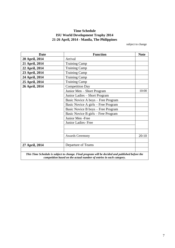# **Time Schedule ISU World Development Trophy 2014 21-26 April, 2014 - Manila, The Philippines**

subject to change

| <b>Date</b>    | <b>Function</b>                                                                                                                                                        | <b>Note</b> |
|----------------|------------------------------------------------------------------------------------------------------------------------------------------------------------------------|-------------|
| 20 April, 2014 | Arrival                                                                                                                                                                |             |
| 21 April, 2014 | <b>Training Camp</b>                                                                                                                                                   |             |
| 22 April, 2014 | <b>Training Camp</b>                                                                                                                                                   |             |
| 23 April, 2014 | <b>Training Camp</b>                                                                                                                                                   |             |
| 24 April, 2014 | <b>Training Camp</b>                                                                                                                                                   |             |
| 25 April, 2014 | <b>Training Camp</b>                                                                                                                                                   |             |
| 26 April, 2014 | <b>Competition Day</b>                                                                                                                                                 |             |
|                | Junior Men - Short Program                                                                                                                                             | 10:00       |
|                | Junior Ladies - Short Program                                                                                                                                          |             |
|                | Basic Novice A boys - Free Program                                                                                                                                     |             |
|                | Basic Novice A girls – Free Program                                                                                                                                    |             |
|                | Basic Novice B boys – Free Program                                                                                                                                     |             |
|                | Basic Novice B girls – Free Program                                                                                                                                    |             |
|                | Junior Men - Free                                                                                                                                                      |             |
|                | Junior Ladies- Free                                                                                                                                                    |             |
|                |                                                                                                                                                                        |             |
|                |                                                                                                                                                                        |             |
|                | <b>Awards Ceremony</b>                                                                                                                                                 | 20:10       |
| 27 April, 2014 | Departure of Teams                                                                                                                                                     |             |
|                | This Time Schedule is subject to change. Final program will be decided and published before the<br>competition based on the actual number of entries in each category. |             |

7